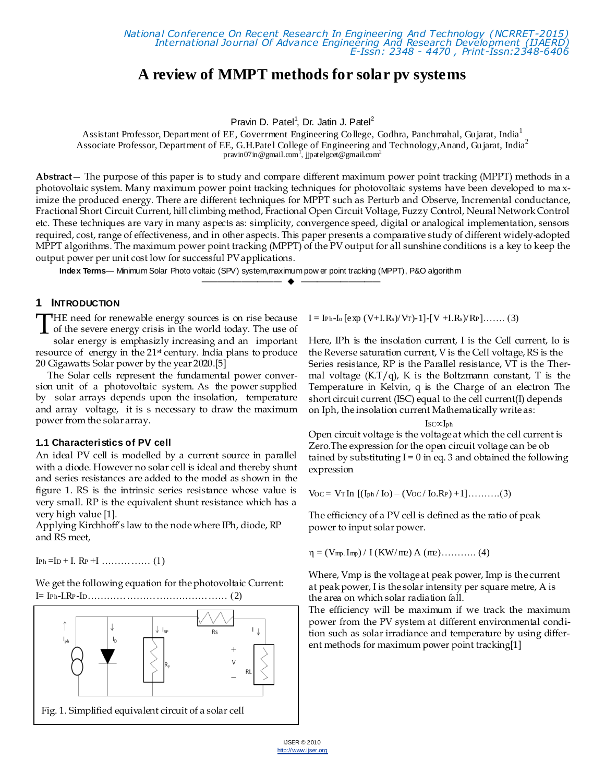# **A review of MMPT methods for solar pv systems**

Pravin D. Patel<sup>1</sup>, Dr. Jatin J. Patel<sup>2</sup>

Assistant Professor, Department of EE, Goverrment Engineering Co llege, Godhra, Panchmahal, Gujarat, India<sup>1</sup> Associate Professor, Department of EE, G.H.Patel College of Engineering and Technology,Anand, Gujarat, India<sup>2</sup> pravin07 in @gmail.com<sup>1</sup>, jjpatelgcet@gmail.com<sup>2</sup>

**Abstract**— The purpose of this paper is to study and compare different maximum power point tracking (MPPT) methods in a photovoltaic system. Many maximum power point tracking techniques for photovoltaic systems have been developed to ma ximize the produced energy. There are different techniques for MPPT such as Perturb and Observe, Incremental conductance, Fractional Short Circuit Current, hill climbing method, Fractional Open Circuit Voltage, Fuzzy Control, Neural Network Control etc. These techniques are vary in many aspects as: simplicity, convergence speed, digital or analogical implementation, sensors required, cost, range of effectiveness, and in other aspects. This paper presents a comparative study of different widely-adopted MPPT algorithms. The maximum power point tracking (MPPT) of the PV output for all sunshine conditions is a key to keep the output power per unit cost low for successful PV applications.

—————————— ——————————

**Index Terms**— Minimum Solar Photo voltaic (SPV) system,maximum pow er point tracking (MPPT), P&O algorithm

## **1 INTRODUCTION**

**HE** need for renewable energy sources is on rise because THE need for renewable energy sources is on rise because<br>of the severe energy crisis in the world today. The use of<br>color energy is emphasially increasing and an immediate solar energy is emphasizly increasing and an important resource of energy in the 21st century. India plans to produce 20 Gigawatts Solar power by the year 2020.[5]

The Solar cells represent the fundamental power conversion unit of a photovoltaic system. As the power supplied by solar arrays depends upon the insolation, temperature and array voltage, it is s necessary to draw the maximum power from the solar array.

#### **1.1 Characteristics of PV cell**

An ideal PV cell is modelled by a current source in parallel with a diode. However no solar cell is ideal and thereby shunt and series resistances are added to the model as shown in the figure 1. RS is the intrinsic series resistance whose value is very small. RP is the equivalent shunt resistance which has a very high value [1].

Applying Kirchhoff's law to the node where IPh, diode, RP and RS meet,

IPh =ID + I. RP +I …………… (1)

We get the following equation for the photovoltaic Current: I= IPh-I.RP-ID………………………….………… (2)



 $I = I_{\text{Ph-Io}} [\text{exp} (V+I.R_s)/V_T] - 1] - [V + I.R_s)/R_P] \dots (3)$ 

Here, IPh is the insolation current, I is the Cell current, Io is the Reverse saturation current, V is the Cell voltage, RS is the Series resistance, RP is the Parallel resistance, VT is the Thermal voltage  $(K.T/q)$ , K is the Boltzmann constant, T is the Temperature in Kelvin, q is the Charge of an electron The short circuit current (ISC) equal to the cell current(I) depends on Iph, the insolation current Mathematically write as:

$$
\mathrm{Isc} \in I_{ph}
$$

Open circuit voltage is the voltage at which the cell current is Zero.The expression for the open circuit voltage can be ob tained by substituting  $I = 0$  in eq. 3 and obtained the following expression

 $V_{OC} = V_{T} \ln [(I_{ph} / I_{O}) - (V_{OC} / I_{O}.R_{P}) + 1]$ ……….(3)

The efficiency of a PV cell is defined as the ratio of peak power to input solar power.

 $\eta = (V_{mp.} I_{mp}) / I (KW/m2) A (m2) \dots (4)$ 

Where, Vmp is the voltage at peak power, Imp is the current at peak power, I is the solar intensity per square metre, A is the area on which solar radiation fall.

The efficiency will be maximum if we track the maximum power from the PV system at different environmental condition such as solar irradiance and temperature by using different methods for maximum power point tracking[1]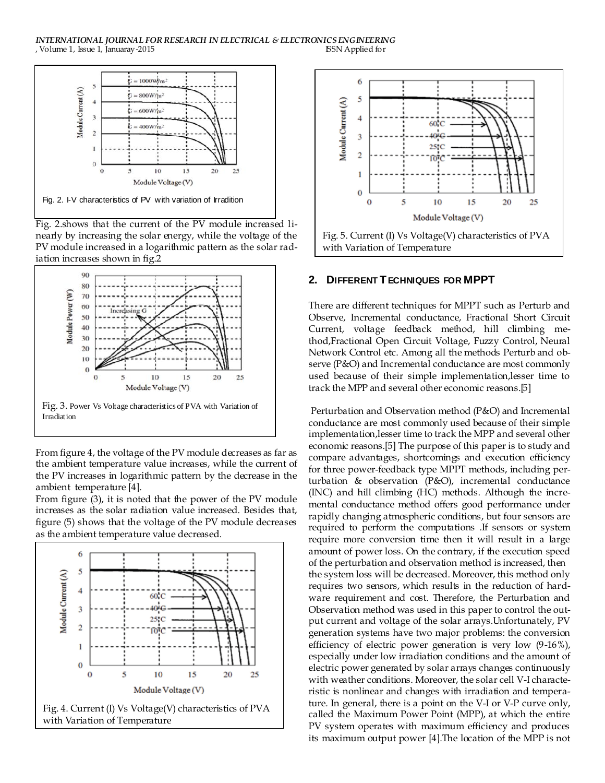#### *INTERNATIONAL JOURNAL FOR RESEARCH IN ELECTRICAL & ELECTRONICS ENGINEERING*<br> *SSN Applied for SSN Applied for* , Volume 1, Issue 1, Januaray-2015



Fig. 2.shows that the current of the PV module increased linearly by increasing the solar energy, while the voltage of the PV module increased in a logarithmic pattern as the solar radiation increases shown in fig.2



From figure 4, the voltage of the PV module decreases as far as the ambient temperature value increases, while the current of the PV increases in logarithmic pattern by the decrease in the ambient temperature [4].

From figure (3), it is noted that the power of the PV module increases as the solar radiation value increased. Besides that, figure (5) shows that the voltage of the PV module decreases as the ambient temperature value decreased.





### **2. DIFFERENT TECHNIQUES FOR MPPT**

There are different techniques for MPPT such as Perturb and Observe, Incremental conductance, Fractional Short Circuit Current, voltage feedback method, hill climbing method,Fractional Open Circuit Voltage, Fuzzy Control, Neural Network Control etc. Among all the methods Perturb and observe (P&O) and Incremental conductance are most commonly used because of their simple implementation,lesser time to track the MPP and several other economic reasons.[5]

Perturbation and Observation method (P&O) and Incremental conductance are most commonly used because of their simple implementation,lesser time to track the MPP and several other economic reasons.[5] The purpose of this paper is to study and compare advantages, shortcomings and execution efficiency for three power-feedback type MPPT methods, including perturbation & observation (P&O), incremental conductance (INC) and hill climbing (HC) methods. Although the incremental conductance method offers good performance under rapidly changing atmospheric conditions, but four sensors are required to perform the computations .If sensors or system require more conversion time then it will result in a large amount of power loss. On the contrary, if the execution speed of the perturbation and observation method is increased, then the system loss will be decreased. Moreover, this method only requires two sensors, which results in the reduction of hardware requirement and cost. Therefore, the Perturbation and Observation method was used in this paper to control the output current and voltage of the solar arrays.Unfortunately, PV generation systems have two major problems: the conversion efficiency of electric power generation is very low (9-16%), especially under low irradiation conditions and the amount of electric power generated by solar arrays changes continuously with weather conditions. Moreover, the solar cell V-I characteristic is nonlinear and changes with irradiation and temperature. In general, there is a point on the V-I or V-P curve only, called the Maximum Power Point (MPP), at which the entire PV system operates with maximum efficiency and produces its maximum output power [4].The location of the MPP is not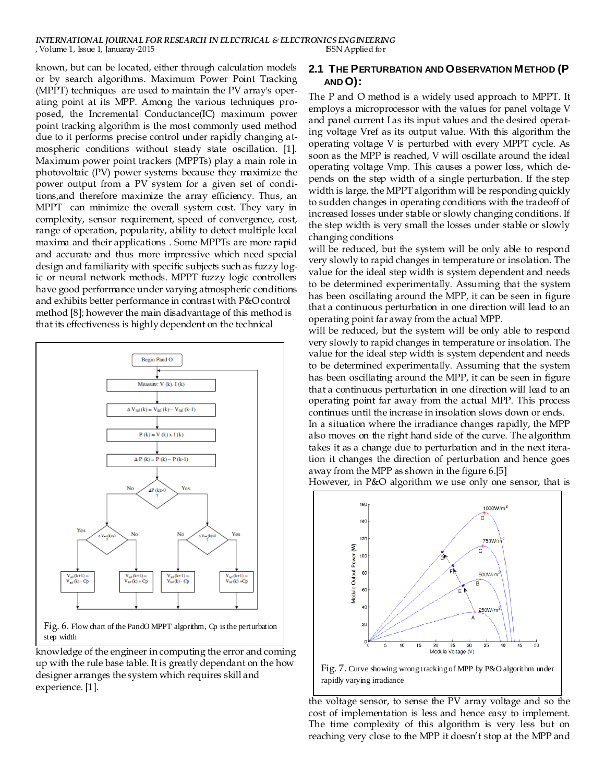#### *INTERNATIONAL JOURNAL FOR RESEARCH IN ELECTRICAL & ELECTRONICS ENGINEERING*<br> *V*olume 1, Issue 1, Januaray -2015 , Volume 1, Issue 1, Januaray-2015

known, but can be located, either through calculation models or by search algorithms. Maximum Power Point Tracking (MPPT) techniques are used to maintain the PV array's operating point at its MPP. Among the various techniques proposed, the Incremental Conductance(IC) maximum power point tracking algorithm is the most commonly used method due to it performs precise control under rapidly changing atmospheric conditions without steady state oscillation. [1]. Maximum power point trackers (MPPTs) play a main role in photovoltaic (PV) power systems because they maximize the power output from a PV system for a given set of conditions,and therefore maximize the array efficiency. Thus, an MPPT can minimize the overall system cost. They vary in complexity, sensor requirement, speed of convergence, cost, range of operation, popularity, ability to detect multiple local maxima and their applications . Some MPPTs are more rapid and accurate and thus more impressive which need special design and familiarity with specific subjects such as fuzzy logic or neural network methods. MPPT fuzzy logic controllers have good performance under varying atmospheric conditions and exhibits better performance in contrast with P&O control method [8]; however the main disadvantage of this method is that its effectiveness is highly dependent on the technical



Fig. 6. Flow chart of the PandO MPPT algorithm, Cp is the perturbation step width

knowledge of the engineer in computing the error and coming up with the rule base table. It is greatly dependant on the how designer arranges the system which requires skill and experience. [1].

# **2.1 THE PERTURBATION AND OBSERVATION METHOD (P AND O):**

The P and O method is a widely used approach to MPPT. It employs a microprocessor with the values for panel voltage V and panel current I as its input values and the desired operating voltage Vref as its output value. With this algorithm the operating voltage V is perturbed with every MPPT cycle. As soon as the MPP is reached, V will oscillate around the ideal operating voltage Vmp. This causes a power loss, which depends on the step width of a single perturbation. If the step width is large, the MPPT algorithm will be responding quickly to sudden changes in operating conditions with the tradeoff of increased losses under stable or slowly changing conditions. If the step width is very small the losses under stable or slowly changing conditions

will be reduced, but the system will be only able to respond very slowly to rapid changes in temperature or insolation. The value for the ideal step width is system dependent and needs to be determined experimentally. Assuming that the system has been oscillating around the MPP, it can be seen in figure that a continuous perturbation in one direction will lead to an operating point far away from the actual MPP.

will be reduced, but the system will be only able to respond very slowly to rapid changes in temperature or insolation. The value for the ideal step width is system dependent and needs to be determined experimentally. Assuming that the system has been oscillating around the MPP, it can be seen in figure that a continuous perturbation in one direction will lead to an operating point far away from the actual MPP. This process continues until the increase in insolation slows down or ends. In a situation where the irradiance changes rapidly, the MPP also moves on the right hand side of the curve. The algorithm takes it as a change due to perturbation and in the next itera-

tion it changes the direction of perturbation and hence goes away from the MPP as shown in the figure 6.[5]

However, in P&O algorithm we use only one sensor, that is





the voltage sensor, to sense the PV array voltage and so the cost of implementation is less and hence easy to implement. The time complexity of this algorithm is very less but on reaching very close to the MPP it doesn't stop at the MPP and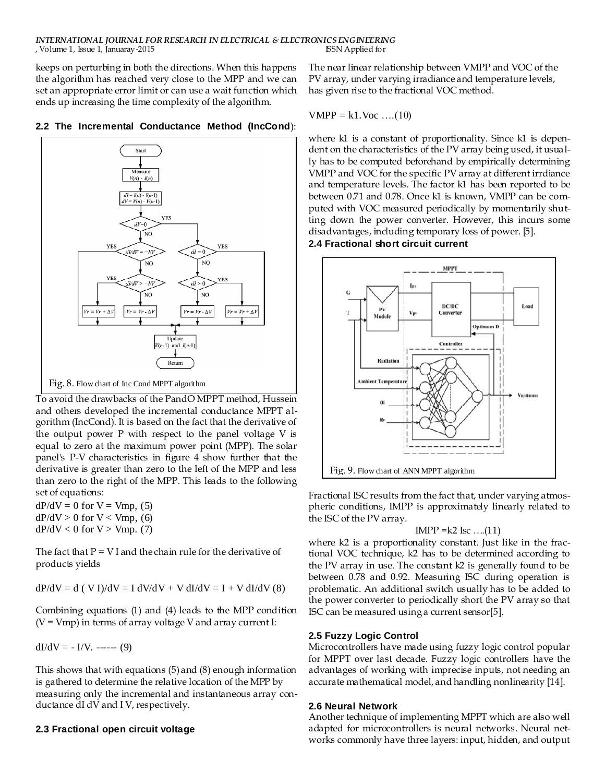keeps on perturbing in both the directions. When this happens the algorithm has reached very close to the MPP and we can set an appropriate error limit or can use a wait function which ends up increasing the time complexity of the algorithm.

#### **2.2 The Incremental Conductance Method (IncCond**):



To avoid the drawbacks of the PandO MPPT method, Hussein and others developed the incremental conductance MPPT algorithm (IncCond). It is based on the fact that the derivative of the output power  $P$  with respect to the panel voltage  $V$  is equal to zero at the maximum power point (MPP). The solar panel's P-V characteristics in figure 4 show further that the derivative is greater than zero to the left of the MPP and less than zero to the right of the MPP. This leads to the following set of equations:

 $dP/dV = 0$  for  $V = Vmp$ , (5)  $dP/dV > 0$  for  $V < V$ mp, (6)  $dP/dV < 0$  for  $V > Vmp$ . (7)

The fact that  $P = VI$  and the chain rule for the derivative of products yields

 $dP/dV = d (V I)/dV = I dV/dV + V dI/dV = I + V dI/dV (8)$ 

Combining equations (1) and (4) leads to the MPP condition  $(V = Vmp)$  in terms of array voltage V and array current I:

 $dI/dV = -I/V.$  ------ (9)

This shows that with equations (5) and (8) enough information is gathered to determine the relative location of the MPP by measuring only the incremental and instantaneous array conductance dI dV and I V, respectively.

#### **2.3 Fractional open circuit voltage**

The near linear relationship between VMPP and VOC of the PV array, under varying irradiance and temperature levels, has given rise to the fractional VOC method.

$$
VMPP = k1.Voc
$$
 ... (10)

where k1 is a constant of proportionality. Since k1 is dependent on the characteristics of the PV array being used, it usually has to be computed beforehand by empirically determining VMPP and VOC for the specific PV array at different irrdiance and temperature levels. The factor k1 has been reported to be between 0.71 and 0.78. Once k1 is known, VMPP can be computed with VOC measured periodically by momentarily shutting down the power converter. However, this incurs some disadvantages, including temporary loss of power. [5].

**2.4 Fractional short circuit current**



Fractional ISC results from the fact that, under varying atmospheric conditions, IMPP is approximately linearly related to the ISC of the PV array.

$$
IMPP = k2
$$
 Isc ... (11)

where k2 is a proportionality constant. Just like in the fractional VOC technique, k2 has to be determined according to the PV array in use. The constant k2 is generally found to be between 0.78 and 0.92. Measuring ISC during operation is problematic. An additional switch usually has to be added to the power converter to periodically short the PV array so that ISC can be measured using a current sensor[5].

# **2.5 Fuzzy Logic Control**

Microcontrollers have made using fuzzy logic control popular for MPPT over last decade. Fuzzy logic controllers have the advantages of working with imprecise inputs, not needing an accurate mathematical model, and handling nonlinearity [14].

#### **2.6 Neural Network**

Another technique of implementing MPPT which are also well adapted for microcontrollers is neural networks. Neural networks commonly have three layers: input, hidden, and output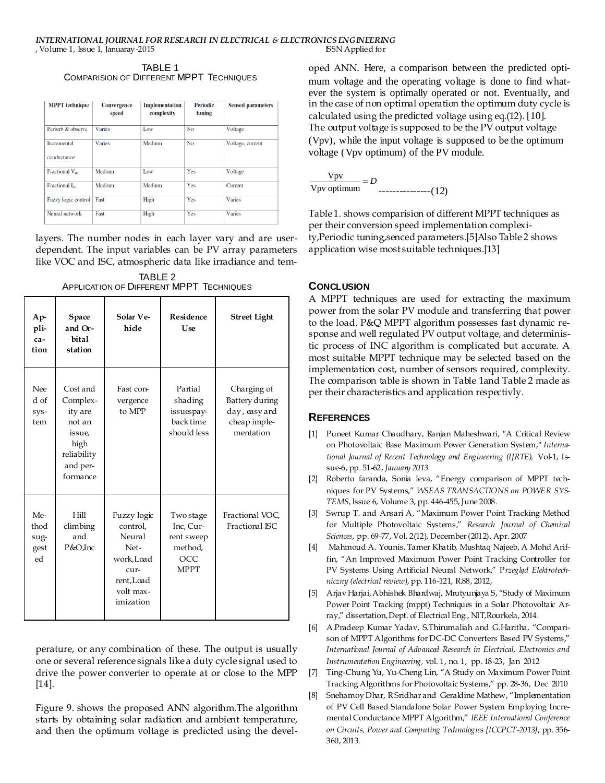TABLE 1 COMPARISION OF DIFFERENT MPPT TECHNIQUES

| <b>MPPT</b> technique      | <b>Convergence</b><br>speed | <b>Implementation</b><br>complexity | Periodic<br>tuning | <b>Sensed parameters</b> |
|----------------------------|-----------------------------|-------------------------------------|--------------------|--------------------------|
| Perturb & observe          | <b>Varies</b>               | Low                                 | No                 | Voltage                  |
| Incremental                | <b>Varies</b>               | Medium                              | No                 | Voltage, current         |
| conductance                |                             |                                     |                    |                          |
| Fractional $V_{\infty}$    | Medium                      | Low                                 | Yes                | Voltage                  |
| Fractional I <sub>sc</sub> | Medium                      | Medium                              | Yes                | Current                  |
| Fuzzy logic control        | Fast                        | High                                | Yes                | Varies                   |
| Neural network             | Fast                        | High                                | Yes                | Varies                   |

layers. The number nodes in each layer vary and are userdependent. The input variables can be PV array parameters like VOC and ISC, atmospheric data like irradiance and tem-

TABLE 2 APPLICATION OF DIFFERENT MPPT TECHNIQUES

| $Ap-$<br>pli-<br>ca-<br>tion      | Space<br>and Or-<br><b>bital</b><br>station                                                        | Solar Ve-<br>hicle                                                                                    | Residence<br>Use                                                      | <b>Street Light</b>                                                         |
|-----------------------------------|----------------------------------------------------------------------------------------------------|-------------------------------------------------------------------------------------------------------|-----------------------------------------------------------------------|-----------------------------------------------------------------------------|
| <b>Nee</b><br>d of<br>sys-<br>tem | Cost and<br>Complex-<br>ity are<br>not an<br>issue,<br>high<br>reliability<br>and per-<br>formance | Fast con-<br>vergence<br>to MPP                                                                       | Partial<br>shading<br>issuespay-<br>back time<br>should less          | Charging of<br>Battery during<br>day, easy and<br>cheap imple-<br>mentation |
| Me-<br>thod<br>sug-<br>gest<br>ed | Hill<br>climbing<br>and<br>P&O,Inc                                                                 | Fuzzy logic<br>control,<br>Neural<br>Net-<br>work.Load<br>cur-<br>rent,Load<br>volt max-<br>imization | Two stage<br>Inc, Cur-<br>rent sweep<br>method,<br>OCC<br><b>MPPT</b> | Fractional VOC.<br>Fractional ISC                                           |

perature, or any combination of these. The output is usually one or several reference signals like a duty cycle signal used to drive the power converter to operate at or close to the MPP [14].

Figure 9. shows the proposed ANN algorithm.The algorithm starts by obtaining solar radiation and ambient temperature, and then the optimum voltage is predicted using the developed ANN. Here, a comparison between the predicted optimum voltage and the operating voltage is done to find whatever the system is optimally operated or not. Eventually, and in the case of non optimal operation the optimum duty cycle is calculated using the predicted voltage using eq.(12). [10]. The output voltage is supposed to be the PV output voltage (Vpv), while the input voltage is supposed to be the optimum voltage (Vpv optimum) of the PV module.

| Vpv<br>$= D$ |              |
|--------------|--------------|
| Vpv optimum  | $------(12)$ |

Table 1. shows comparision of different MPPT techniques as per their conversion speed implementation complexity,Periodic tuning,senced parameters.[5]Also Table 2 shows application wise most suitable techniques.[13]

# **CONCLUSION**

A MPPT techniques are used for extracting the maximum power from the solar PV module and transferring that power to the load. P&Q MPPT algorithm possesses fast dynamic response and well regulated PV output voltage, and deterministic process of INC algorithm is complicated but accurate. A most suitable MPPT technique may be selected based on the implementation cost, number of sensors required, complexity. The comparison table is shown in Table 1and Table 2 made as per their characteristics and application respectivly.

# **REFERENCES**

- [1] Puneet Kumar Chaudhary, Ranjan Maheshwari, "A Critical Review on Photovoltaic Base Maximum Power Generation System," *International Journal of Recent Technology and Engineering (IJRTE),* Vol-1, Issue-6, pp. 51-62, *January 2013*
- [2] Roberto faranda, Sonia leva, "Energy comparison of MPPT techniques for PV Systems," *WSEAS TRANSACTIONS on POWER SYS-TEMS*, Issue 6, Volume 3, pp. 446-455, June 2008.
- [3] Swrup T. and Ansari A, "Maximum Power Point Tracking Method for Multiple Photovoltaic Systems," *Research Journal of Chemical Sciences*, pp. 69-77, Vol. 2(12), December (2012), Apr. 2007
- [4] Mahmoud A. Younis, Tamer Khatib, Mushtaq Najeeb, A Mohd Ariffin, "An Improved Maximum Power Point Tracking Controller for PV Systems Using Artificial Neural Network," P*rzegląd Elektrotechniczny (electrical review)*, pp. 116-121, R.88, 2012,
- [5] Arjav Harjai,Abhishek Bhardwaj, Mrutyunjaya S, "Study of Maximum Power Point Tracking (mppt) Techniques in a Solar Photovoltaic Array," dissertation, Dept. of Electrical Eng., NIT,Rourkela, 2014.
- [6] A.Pradeep Kumar Yadav, S.Thirumaliah and G.Haritha, "Comparison of MPPT Algorithms for DC-DC Converters Based PV Systems," *International Journal of Advanced Research in Electrical, Electronics and Instrumentation Engineering,* vol. 1, no. 1, pp. 18-23, Jan 2012
- [7] Ting-Chung Yu, Yu-Cheng Lin, "A Study on Maximum Power Point Tracking Algorithms forPhotovoltaic Systems," pp. 28-36, Dec 2010
- [8] Snehamoy Dhar, R Sridhar and Geraldine Mathew, "Implementation of PV Cell Based Standalone Solar Power System Employing Incremental Conductance MPPT Algorithm," *IEEE International Conference on Circuits, Power and Computing Technologies [ICCPCT-2013]*, pp. 356- 360, 2013.